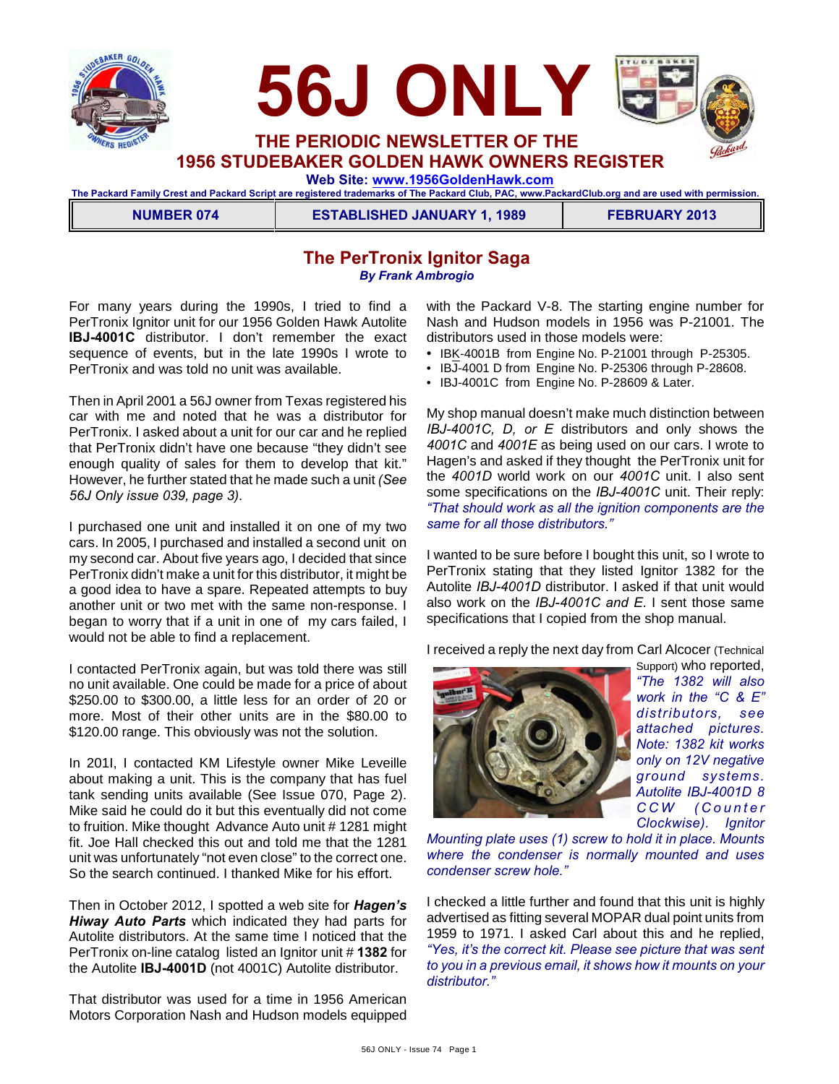



**1956 STUDEBAKER GOLDEN HAWK OWNERS REGISTER**

 **Web Site: [www.1956GoldenHawk.com](http://www.1956GoldenHawk.com)**

**The Packard Family Crest and Packard Script are registered trademarks of The Packard Club, PAC, www.PackardClub.org and are used with permission.** 

**NUMBER 074 ESTABLISHED JANUARY 1, 1989 FEBRUARY 2013**

## **The PerTronix Ignitor Saga** *By Frank Ambrogio*

For many years during the 1990s, I tried to find a PerTronix Ignitor unit for our 1956 Golden Hawk Autolite **IBJ-4001C** distributor. I don't remember the exact sequence of events, but in the late 1990s I wrote to PerTronix and was told no unit was available.

Then in April 2001 a 56J owner from Texas registered his car with me and noted that he was a distributor for PerTronix. I asked about a unit for our car and he replied that PerTronix didn't have one because "they didn't see enough quality of sales for them to develop that kit." However, he further stated that he made such a unit *(See 56J Only issue 039, page 3)*.

I purchased one unit and installed it on one of my two cars. In 2005, I purchased and installed a second unit on my second car. About five years ago, I decided that since PerTronix didn't make a unit for this distributor, it might be a good idea to have a spare. Repeated attempts to buy another unit or two met with the same non-response. I began to worry that if a unit in one of my cars failed, I would not be able to find a replacement.

I contacted PerTronix again, but was told there was still no unit available. One could be made for a price of about \$250.00 to \$300.00, a little less for an order of 20 or more. Most of their other units are in the \$80.00 to \$120.00 range. This obviously was not the solution.

In 201I, I contacted KM Lifestyle owner Mike Leveille about making a unit. This is the company that has fuel tank sending units available (See Issue 070, Page 2). Mike said he could do it but this eventually did not come to fruition. Mike thought Advance Auto unit # 1281 might fit. Joe Hall checked this out and told me that the 1281 unit was unfortunately "not even close" to the correct one. So the search continued. I thanked Mike for his effort.

Then in October 2012, I spotted a web site for *Hagen's Hiway Auto Parts* which indicated they had parts for Autolite distributors. At the same time I noticed that the PerTronix on-line catalog listed an Ignitor unit # **1382** for the Autolite **IBJ-4001D** (not 4001C) Autolite distributor.

That distributor was used for a time in 1956 American Motors Corporation Nash and Hudson models equipped with the Packard V-8. The starting engine number for Nash and Hudson models in 1956 was P-21001. The distributors used in those models were:

- IBK-4001B from Engine No. P-21001 through P-25305.
- IBJ-4001 D from Engine No. P-25306 through P-28608.
- IBJ-4001C from Engine No. P-28609 & Later.

My shop manual doesn't make much distinction between *IBJ-4001C, D, or E* distributors and only shows the *4001C* and *4001E* as being used on our cars. I wrote to Hagen's and asked if they thought the PerTronix unit for the *4001D* world work on our *4001C* unit. I also sent some specifications on the *IBJ-4001C* unit. Their reply: *"That should work as all the ignition components are the same for all those distributors."*

I wanted to be sure before I bought this unit, so I wrote to PerTronix stating that they listed Ignitor 1382 for the Autolite *IBJ-4001D* distributor. I asked if that unit would also work on the *IBJ-4001C and E*. I sent those same specifications that I copied from the shop manual.

I received a reply the next day from Carl Alcocer (Technical



Support) who reported, *"The 1382 will also work in the "C & E" distributors, see attached pictures. Note: 1382 kit works only on 12V negative ground systems. Autolite IBJ-4001D 8 C C W ( C o u n t e r Clockwise). Ignitor*

*Mounting plate uses (1) screw to hold it in place. Mounts where the condenser is normally mounted and uses condenser screw hole."*

I checked a little further and found that this unit is highly advertised as fitting several MOPAR dual point units from 1959 to 1971. I asked Carl about this and he replied, *"Yes, it's the correct kit. Please see picture that was sent to you in a previous email, it shows how it mounts on your distributor."*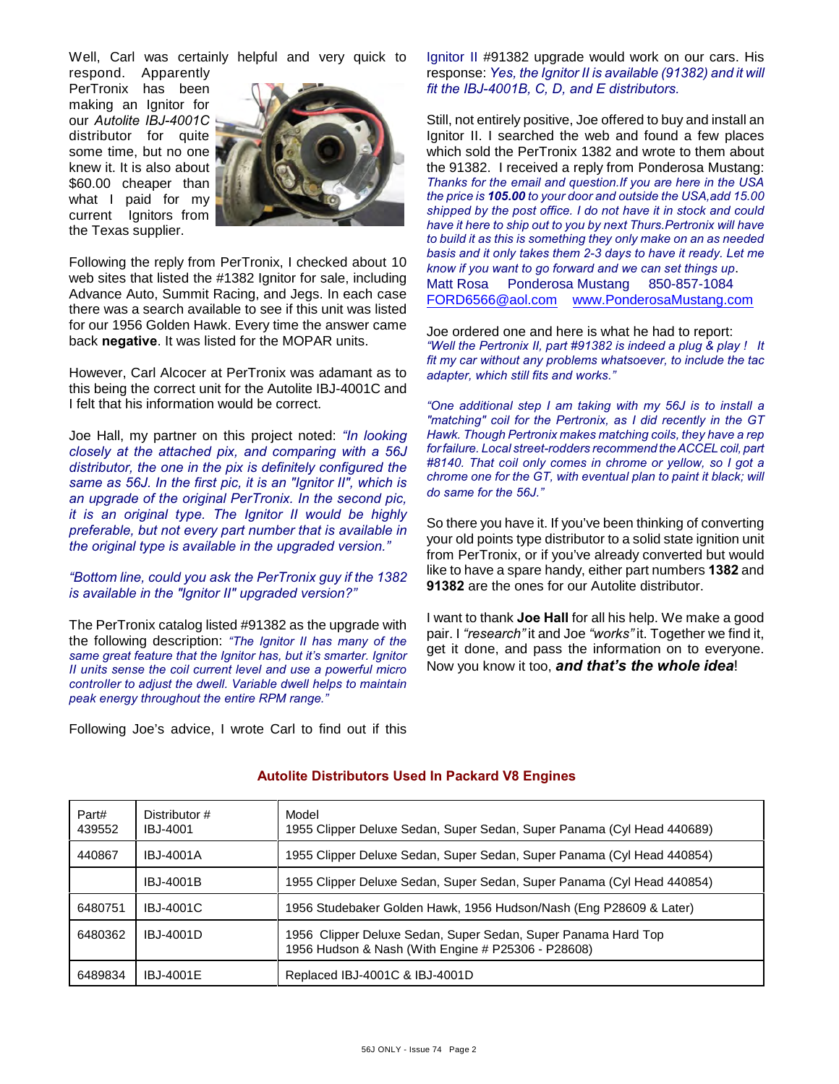Well, Carl was certainly helpful and very quick to

respond. Apparently PerTronix has been making an Ignitor for our *Autolite IBJ-4001C* distributor for quite some time, but no one knew it. It is also about \$60.00 cheaper than what I paid for my current Ignitors from the Texas supplier.



Following the reply from PerTronix, I checked about 10 web sites that listed the #1382 Ignitor for sale, including Advance Auto, Summit Racing, and Jegs. In each case there was a search available to see if this unit was listed for our 1956 Golden Hawk. Every time the answer came back **negative**. It was listed for the MOPAR units.

However, Carl Alcocer at PerTronix was adamant as to this being the correct unit for the Autolite IBJ-4001C and I felt that his information would be correct.

Joe Hall, my partner on this project noted: *"In looking closely at the attached pix, and comparing with a 56J distributor, the one in the pix is definitely configured the same as 56J. In the first pic, it is an "Ignitor II", which is an upgrade of the original PerTronix. In the second pic, it is an original type. The Ignitor II would be highly preferable, but not every part number that is available in the original type is available in the upgraded version."* 

*"Bottom line, could you ask the PerTronix guy if the 1382 is available in the "Ignitor II" upgraded version?"*

The PerTronix catalog listed #91382 as the upgrade with the following description: *"The Ignitor II has many of the same great feature that the Ignitor has, but it's smarter. Ignitor II units sense the coil current level and use a powerful micro controller to adjust the dwell. Variable dwell helps to maintain peak energy throughout the entire RPM range."*

Following Joe's advice, I wrote Carl to find out if this

Ignitor II #91382 upgrade would work on our cars. His response: *Yes, the Ignitor II is available (91382) and it will fit the IBJ-4001B, C, D, and E distributors.* 

Still, not entirely positive, Joe offered to buy and install an Ignitor II. I searched the web and found a few places which sold the PerTronix 1382 and wrote to them about the 91382. I received a reply from Ponderosa Mustang: *Thanks for the email and question.If you are here in the USA the price is 105.00 to your door and outside the USA,add 15.00 shipped by the post office. I do not have it in stock and could have it here to ship out to you by next Thurs.Pertronix will have to build it as this is something they only make on an as needed basis and it only takes them 2-3 days to have it ready. Let me know if you want to go forward and we can set things up*. Matt Rosa Ponderosa Mustang 850-857-1084 [FORD6566@aol.com](mailto:FORD6566@aol.com) [www.PonderosaMustang.com](http://www.PonderosaMustang.com)

Joe ordered one and here is what he had to report: *"Well the Pertronix II, part #91382 is indeed a plug & play ! It fit my car without any problems whatsoever, to include the tac adapter, which still fits and works."*

*"One additional step I am taking with my 56J is to install a "matching" coil for the Pertronix, as I did recently in the GT Hawk. Though Pertronix makes matching coils, they have a rep for failure. Local street-rodders recommend the ACCEL coil, part #8140. That coil only comes in chrome or yellow, so I got a chrome one for the GT, with eventual plan to paint it black; will do same for the 56J."*

So there you have it. If you've been thinking of converting your old points type distributor to a solid state ignition unit from PerTronix, or if you've already converted but would like to have a spare handy, either part numbers **1382** and **91382** are the ones for our Autolite distributor.

I want to thank **Joe Hall** for all his help. We make a good pair. I *"research"* it and Joe *"works"* it. Together we find it, get it done, and pass the information on to everyone. Now you know it too, *and that's the whole idea*!

| Part#<br>439552 | Distributor #<br>IBJ-4001 | Model<br>1955 Clipper Deluxe Sedan, Super Sedan, Super Panama (Cyl Head 440689)                                     |
|-----------------|---------------------------|---------------------------------------------------------------------------------------------------------------------|
| 440867          | IBJ-4001A                 | 1955 Clipper Deluxe Sedan, Super Sedan, Super Panama (Cyl Head 440854)                                              |
|                 | IBJ-4001B                 | 1955 Clipper Deluxe Sedan, Super Sedan, Super Panama (Cyl Head 440854)                                              |
| 6480751         | IBJ-4001C                 | 1956 Studebaker Golden Hawk, 1956 Hudson/Nash (Eng P28609 & Later)                                                  |
| 6480362         | IBJ-4001D                 | 1956 Clipper Deluxe Sedan, Super Sedan, Super Panama Hard Top<br>1956 Hudson & Nash (With Engine # P25306 - P28608) |
| 6489834         | IBJ-4001E                 | Replaced IBJ-4001C & IBJ-4001D                                                                                      |

#### **Autolite Distributors Used In Packard V8 Engines**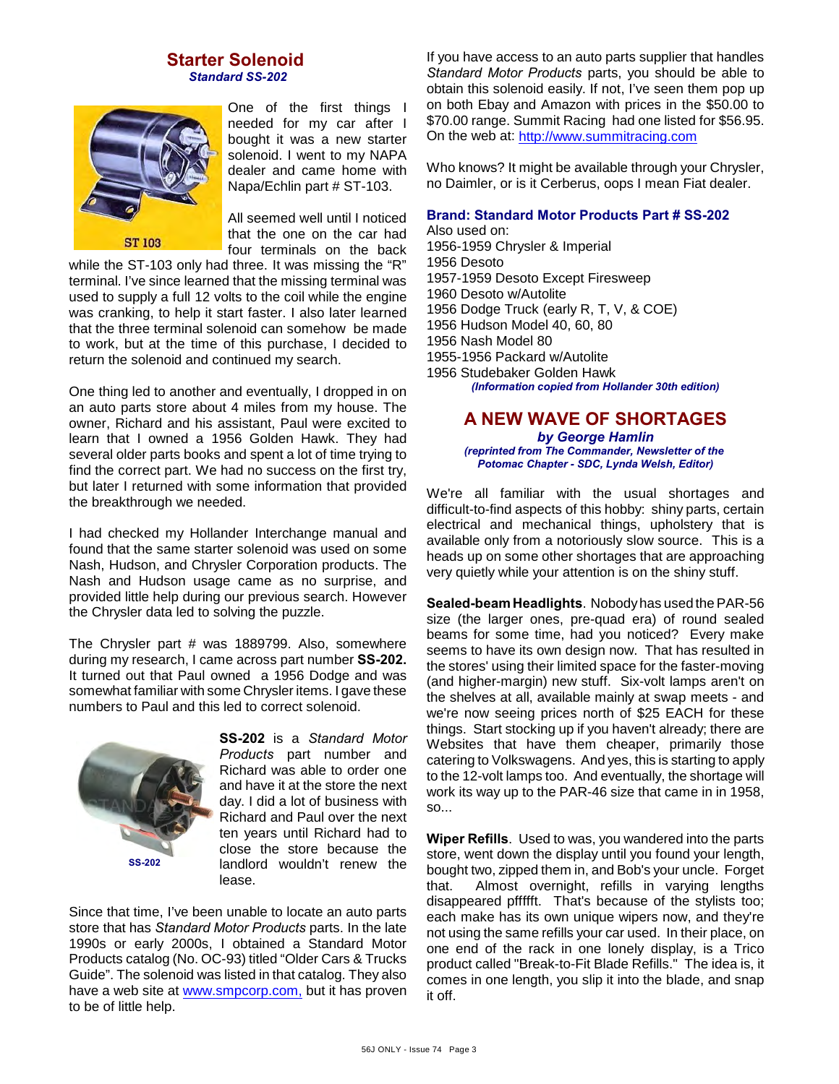#### **Starter Solenoid**  *Standard SS-202*



One of the first things I needed for my car after I bought it was a new starter solenoid. I went to my NAPA dealer and came home with Napa/Echlin part # ST-103.

All seemed well until I noticed that the one on the car had four terminals on the back

while the ST-103 only had three. It was missing the "R" terminal. I've since learned that the missing terminal was used to supply a full 12 volts to the coil while the engine was cranking, to help it start faster. I also later learned that the three terminal solenoid can somehow be made to work, but at the time of this purchase, I decided to return the solenoid and continued my search.

One thing led to another and eventually, I dropped in on an auto parts store about 4 miles from my house. The owner, Richard and his assistant, Paul were excited to learn that I owned a 1956 Golden Hawk. They had several older parts books and spent a lot of time trying to find the correct part. We had no success on the first try, but later I returned with some information that provided the breakthrough we needed.

I had checked my Hollander Interchange manual and found that the same starter solenoid was used on some Nash, Hudson, and Chrysler Corporation products. The Nash and Hudson usage came as no surprise, and provided little help during our previous search. However the Chrysler data led to solving the puzzle.

The Chrysler part # was 1889799. Also, somewhere during my research, I came across part number **SS-202.** It turned out that Paul owned a 1956 Dodge and was somewhat familiar with some Chrysler items. I gave these numbers to Paul and this led to correct solenoid.



**SS-202** is a *Standard Motor Products* part number and Richard was able to order one and have it at the store the next day. I did a lot of business with Richard and Paul over the next ten years until Richard had to close the store because the landlord wouldn't renew the lease.

Since that time, I've been unable to locate an auto parts store that has *Standard Motor Products* parts. In the late 1990s or early 2000s, I obtained a Standard Motor Products catalog (No. OC-93) titled "Older Cars & Trucks Guide". The solenoid was listed in that catalog. They also have a web site at [www.smpcorp.com,](http://www.smpcorp.com,) but it has proven to be of little help.

If you have access to an auto parts supplier that handles *Standard Motor Products* parts, you should be able to obtain this solenoid easily. If not, I've seen them pop up on both Ebay and Amazon with prices in the \$50.00 to \$70.00 range. Summit Racing had one listed for \$56.95. On the web at:<http://www.summitracing.com>

Who knows? It might be available through your Chrysler, no Daimler, or is it Cerberus, oops I mean Fiat dealer.

#### **Brand: Standard Motor Products Part # SS-202**

Also used on: 1956-1959 Chrysler & Imperial 1956 Desoto 1957-1959 Desoto Except Firesweep 1960 Desoto w/Autolite 1956 Dodge Truck (early R, T, V, & COE) 1956 Hudson Model 40, 60, 80 1956 Nash Model 80 1955-1956 Packard w/Autolite 1956 Studebaker Golden Hawk *(Information copied from Hollander 30th edition)*

### **A NEW WAVE OF SHORTAGES** *by George Hamlin*

*(reprinted from The Commander, Newsletter of the Potomac Chapter - SDC, Lynda Welsh, Editor)*

We're all familiar with the usual shortages and difficult-to-find aspects of this hobby: shiny parts, certain electrical and mechanical things, upholstery that is available only from a notoriously slow source. This is a heads up on some other shortages that are approaching very quietly while your attention is on the shiny stuff.

**Sealed-beam Headlights**. Nobody has used the PAR-56 size (the larger ones, pre-quad era) of round sealed beams for some time, had you noticed? Every make seems to have its own design now. That has resulted in the stores' using their limited space for the faster-moving (and higher-margin) new stuff. Six-volt lamps aren't on the shelves at all, available mainly at swap meets - and we're now seeing prices north of \$25 EACH for these things. Start stocking up if you haven't already; there are Websites that have them cheaper, primarily those catering to Volkswagens. And yes, this is starting to apply to the 12-volt lamps too. And eventually, the shortage will work its way up to the PAR-46 size that came in in 1958, so...

**Wiper Refills**. Used to was, you wandered into the parts store, went down the display until you found your length, bought two, zipped them in, and Bob's your uncle. Forget that. Almost overnight, refills in varying lengths disappeared pffffft. That's because of the stylists too; each make has its own unique wipers now, and they're not using the same refills your car used. In their place, on one end of the rack in one lonely display, is a Trico product called "Break-to-Fit Blade Refills." The idea is, it comes in one length, you slip it into the blade, and snap it off.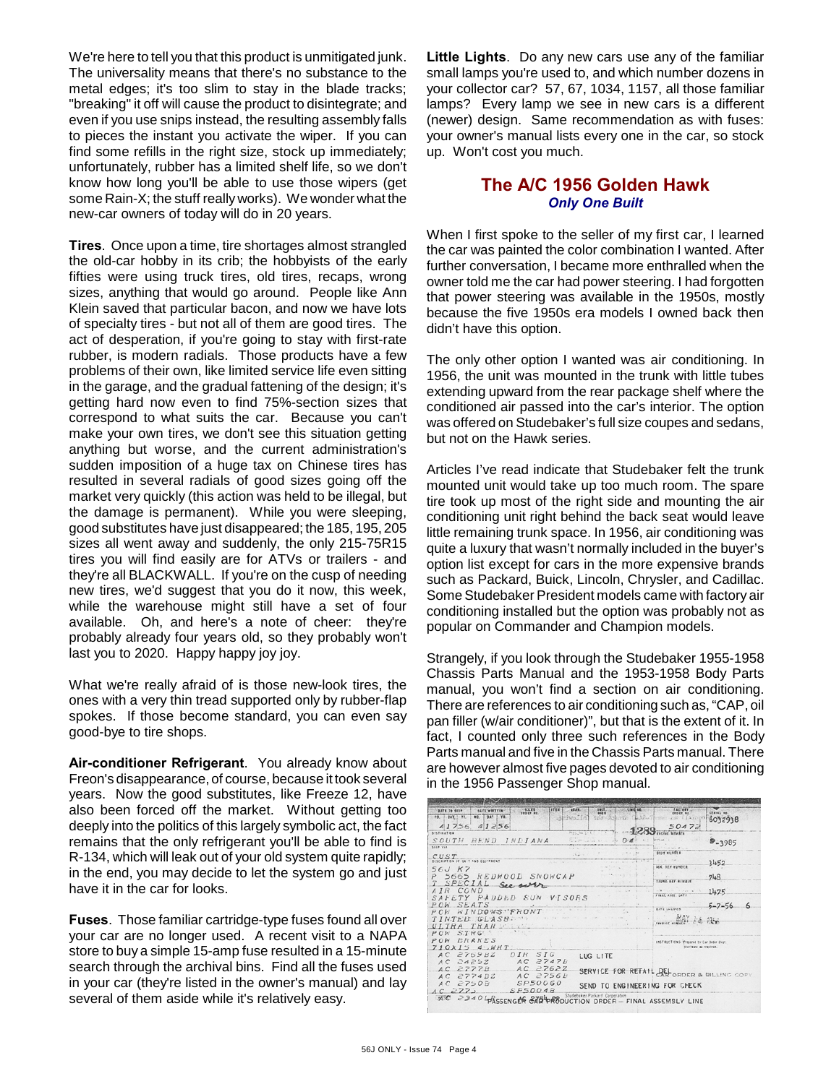We're here to tell you that this product is unmitigated junk. The universality means that there's no substance to the metal edges; it's too slim to stay in the blade tracks; "breaking" it off will cause the product to disintegrate; and even if you use snips instead, the resulting assembly falls to pieces the instant you activate the wiper. If you can find some refills in the right size, stock up immediately; unfortunately, rubber has a limited shelf life, so we don't know how long you'll be able to use those wipers (get some Rain-X; the stuff really works). We wonder what the new-car owners of today will do in 20 years.

**Tires**. Once upon a time, tire shortages almost strangled the old-car hobby in its crib; the hobbyists of the early fifties were using truck tires, old tires, recaps, wrong sizes, anything that would go around. People like Ann Klein saved that particular bacon, and now we have lots of specialty tires - but not all of them are good tires. The act of desperation, if you're going to stay with first-rate rubber, is modern radials. Those products have a few problems of their own, like limited service life even sitting in the garage, and the gradual fattening of the design; it's getting hard now even to find 75%-section sizes that correspond to what suits the car. Because you can't make your own tires, we don't see this situation getting anything but worse, and the current administration's sudden imposition of a huge tax on Chinese tires has resulted in several radials of good sizes going off the market very quickly (this action was held to be illegal, but the damage is permanent). While you were sleeping, good substitutes have just disappeared; the 185, 195, 205 sizes all went away and suddenly, the only 215-75R15 tires you will find easily are for ATVs or trailers - and they're all BLACKWALL. If you're on the cusp of needing new tires, we'd suggest that you do it now, this week, while the warehouse might still have a set of four available. Oh, and here's a note of cheer: they're probably already four years old, so they probably won't last you to 2020. Happy happy joy joy.

What we're really afraid of is those new-look tires, the ones with a very thin tread supported only by rubber-flap spokes. If those become standard, you can even say good-bye to tire shops.

**Air-conditioner Refrigerant**. You already know about Freon's disappearance, of course, because it took several years. Now the good substitutes, like Freeze 12, have also been forced off the market. Without getting too deeply into the politics of this largely symbolic act, the fact remains that the only refrigerant you'll be able to find is R-134, which will leak out of your old system quite rapidly; in the end, you may decide to let the system go and just have it in the car for looks.

**Fuses**. Those familiar cartridge-type fuses found all over your car are no longer used. A recent visit to a NAPA store to buy a simple 15-amp fuse resulted in a 15-minute search through the archival bins. Find all the fuses used in your car (they're listed in the owner's manual) and lay several of them aside while it's relatively easy.

**Little Lights**. Do any new cars use any of the familiar small lamps you're used to, and which number dozens in your collector car? 57, 67, 1034, 1157, all those familiar lamps? Every lamp we see in new cars is a different (newer) design. Same recommendation as with fuses: your owner's manual lists every one in the car, so stock up. Won't cost you much.

## **The A/C 1956 Golden Hawk** *Only One Built*

When I first spoke to the seller of my first car, I learned the car was painted the color combination I wanted. After further conversation, I became more enthralled when the owner told me the car had power steering. I had forgotten that power steering was available in the 1950s, mostly because the five 1950s era models I owned back then didn't have this option.

The only other option I wanted was air conditioning. In 1956, the unit was mounted in the trunk with little tubes extending upward from the rear package shelf where the conditioned air passed into the car's interior. The option was offered on Studebaker's full size coupes and sedans, but not on the Hawk series.

Articles I've read indicate that Studebaker felt the trunk mounted unit would take up too much room. The spare tire took up most of the right side and mounting the air conditioning unit right behind the back seat would leave little remaining trunk space. In 1956, air conditioning was quite a luxury that wasn't normally included in the buyer's option list except for cars in the more expensive brands such as Packard, Buick, Lincoln, Chrysler, and Cadillac. Some Studebaker President models came with factory air conditioning installed but the option was probably not as popular on Commander and Champion models.

Strangely, if you look through the Studebaker 1955-1958 Chassis Parts Manual and the 1953-1958 Body Parts manual, you won't find a section on air conditioning. There are references to air conditioning such as, "CAP, oil pan filler (w/air conditioner)", but that is the extent of it. In fact, I counted only three such references in the Body Parts manual and five in the Chassis Parts manual. There are however almost five pages devoted to air conditioning in the 1956 Passenger Shop manual.

| <b>BAYE WRITTEN!</b><br><b>BATE TO SKIP</b><br><b>md.</b> DAY YE. | <b>FRST, COLORE AD. COMPANY</b><br><b>GEAR</b><br>withwolid sne School (WA-There of Harrow | <b>STELLY NO.</b><br>asses wa<br>6032938        |
|-------------------------------------------------------------------|--------------------------------------------------------------------------------------------|-------------------------------------------------|
| 41756.41256                                                       |                                                                                            | 50472                                           |
| <b>DESTINATION</b><br>SOUTH BEND INDIANA<br>SHIP VIA              | $\cdots$ and $\alpha$                                                                      | sciet ametri<br><b>B</b> <sub>-3985</sub>       |
|                                                                   | $15.2 - 1$                                                                                 | EROY MUMELS                                     |
| CUST<br>DESCRIPTION OF ON 7 AND COUPRENT.                         |                                                                                            | 3452                                            |
| 56J K7                                                            |                                                                                            | <b>MM. KEY-RUMDER</b>                           |
| 5665 REDWOOD SNOWCAP                                              | FRANCIS STO                                                                                | 748                                             |
| T SPECIAL See our                                                 |                                                                                            | TRUNK KEY MURRER                                |
| AIR COND                                                          |                                                                                            | 1475                                            |
| SAFETY PADDED SUN VISORS                                          |                                                                                            | : FRAAT ANSW. p-ATA                             |
| POW SEATS                                                         |                                                                                            | $\kappa$<br>$5 - 7 - 56$<br><b>DATE SHIPPED</b> |
| PCH WINDOWS FRONT                                                 |                                                                                            |                                                 |
| TINTED GLASS.<br>ULTRA TRANSCOPE                                  |                                                                                            |                                                 |
| the confidence.<br>POW STRG                                       |                                                                                            |                                                 |
| ERAKES<br>POW                                                     |                                                                                            | INSTRUCTIONS: Wireared by Car Drday Deal.       |
| 710x154WHT                                                        |                                                                                            | distribute be regulard.                         |
| AC 2769BZ DIR SIG                                                 | LUG LITE                                                                                   |                                                 |
| AC 2425Z  AC 2747B                                                |                                                                                            |                                                 |
| $AC$ 2762Z<br>7777B<br>AC                                         |                                                                                            | SERVICE FOR RETAIL DEL ORDER & BILLING COPY     |
| $AC$ 2756 $B$<br>$AC$ 2774 $BZ$                                   |                                                                                            |                                                 |
| SP50060<br>$AC$ 2750 $B$                                          | SEND TO ENGINEERING FOR CHECK                                                              |                                                 |
| SP50048<br>$AC$ $277$                                             | 275 BR Studebaker Packard Corporation                                                      |                                                 |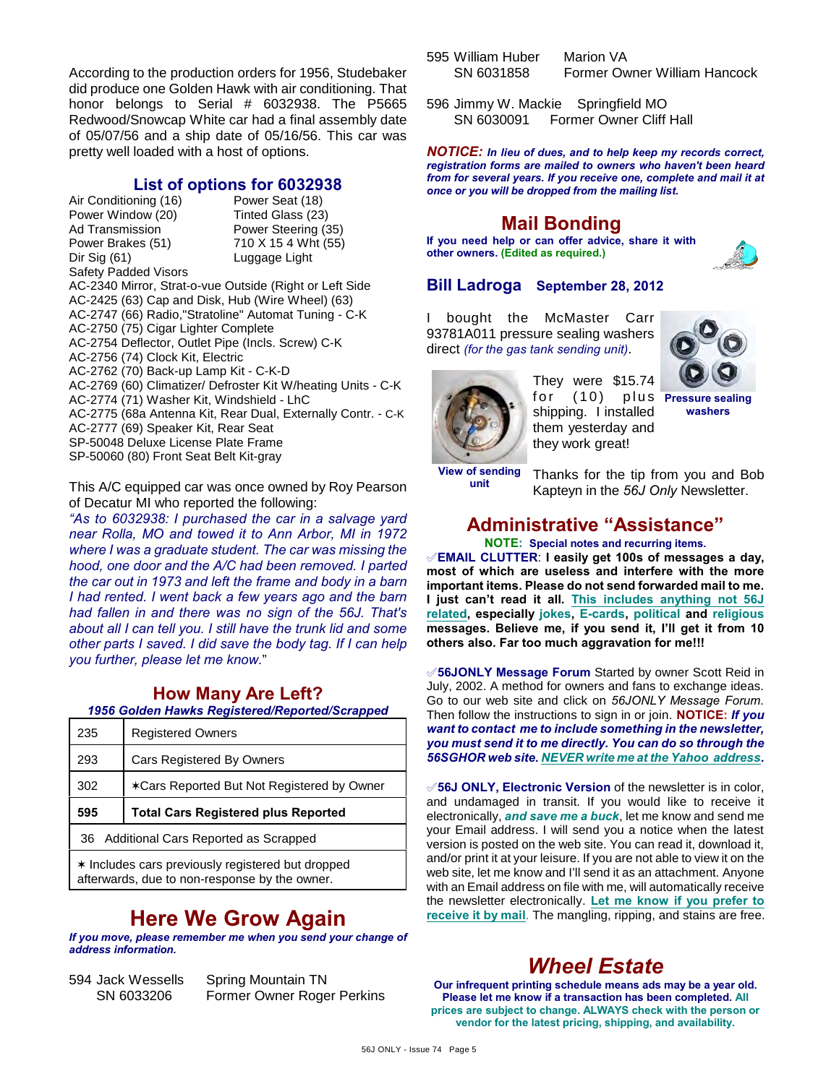According to the production orders for 1956, Studebaker did produce one Golden Hawk with air conditioning. That honor belongs to Serial # 6032938. The P5665 Redwood/Snowcap White car had a final assembly date of 05/07/56 and a ship date of 05/16/56. This car was pretty well loaded with a host of options.

### **List of options for 6032938**

Air Conditioning (16) Power Seat (18) Power Window (20) Tinted Glass (23) Ad Transmission **Power Steering (35)**<br>Power Brakes (51) 710 X 15 4 Wht (55) Dir Sig (61) Luggage Light

710 X 15 4 Wht (55)

Safety Padded Visors

AC-2340 Mirror, Strat-o-vue Outside (Right or Left Side AC-2425 (63) Cap and Disk, Hub (Wire Wheel) (63) AC-2747 (66) Radio,"Stratoline" Automat Tuning - C-K

AC-2750 (75) Cigar Lighter Complete

AC-2754 Deflector, Outlet Pipe (Incls. Screw) C-K

AC-2756 (74) Clock Kit, Electric

AC-2762 (70) Back-up Lamp Kit - C-K-D

AC-2769 (60) Climatizer/ Defroster Kit W/heating Units - C-K

AC-2774 (71) Washer Kit, Windshield - LhC

AC-2775 (68a Antenna Kit, Rear Dual, Externally Contr. - C-K AC-2777 (69) Speaker Kit, Rear Seat

SP-50048 Deluxe License Plate Frame

SP-50060 (80) Front Seat Belt Kit-gray

This A/C equipped car was once owned by Roy Pearson of Decatur MI who reported the following:

*"As to 6032938: I purchased the car in a salvage yard near Rolla, MO and towed it to Ann Arbor, MI in 1972 where I was a graduate student. The car was missing the hood, one door and the A/C had been removed. I parted the car out in 1973 and left the frame and body in a barn I had rented. I went back a few years ago and the barn had fallen in and there was no sign of the 56J. That's about all I can tell you. I still have the trunk lid and some other parts I saved. I did save the body tag. If I can help you further, please let me know.*"

## **How Many Are Left?**

*1956 Golden Hawks Registered/Reported/Scrapped*

| 235 | <b>Registered Owners</b>                   |
|-----|--------------------------------------------|
| 293 | Cars Registered By Owners                  |
| 302 | *Cars Reported But Not Registered by Owner |
|     |                                            |
| 595 | <b>Total Cars Registered plus Reported</b> |
|     | 36 Additional Cars Reported as Scrapped    |

# **Here We Grow Again**

*If you move, please remember me when you send your change of address information.*

594 Jack Wessells Spring Mountain TN Former Owner Roger Perkins

- 595 William Huber Marion VA SN 6031858 Former Owner William Hancock
- 596 Jimmy W. Mackie Springfield MO SN 6030091 Former Owner Cliff Hall

*NOTICE: In lieu of dues, and to help keep my records correct, registration forms are mailed to owners who haven't been heard from for several years. If you receive one, complete and mail it at once or you will be dropped from the mailing list.*

## **Mail Bonding**

**If you need help or can offer advice, share it with other owners. (Edited as required.)**



## **Bill Ladroga September 28, 2012**

I bought the McMaster Carr 93781A011 pressure sealing washers direct *(for the gas tank sending unit)*.



They were \$15.74 for (10) shipping. I installed them yesterday and they work great! **Pressure sealing**

**washers**

**View of sending unit**

Thanks for the tip from you and Bob Kapteyn in the *56J Only* Newsletter.

## **Administrative "Assistance"**

**NOTE: Special notes and recurring items.**

°**EMAIL CLUTTER**: **I easily get 100s of messages a day, most of which are useless and interfere with the more important items. Please do not send forwarded mail to me. I just can't read it all. This includes anything not 56J related, especially jokes, E-cards, political and religious messages. Believe me, if you send it, I'll get it from 10 others also. Far too much aggravation for me!!!**

°**56JONLY Message Forum** Started by owner Scott Reid in July, 2002. A method for owners and fans to exchange ideas. Go to our web site and click on *56JONLY Message Forum*. Then follow the instructions to sign in or join. **NOTICE:** *If you want to contact me to include something in the newsletter, you must send it to me directly. You can do so through the 56SGHOR web site. NEVER write me at the Yahoo address.*

**√56J ONLY, Electronic Version** of the newsletter is in color, and undamaged in transit. If you would like to receive it electronically, *and save me a buck*, let me know and send me your Email address. I will send you a notice when the latest version is posted on the web site. You can read it, download it, and/or print it at your leisure. If you are not able to view it on the web site, let me know and I'll send it as an attachment. Anyone with an Email address on file with me, will automatically receive the newsletter electronically. **Let me know if you prefer to receive it by mail**. The mangling, ripping, and stains are free.

# *Wheel Estate*

**Our infrequent printing schedule means ads may be a year old. Please let me know if a transaction has been completed. All prices are subject to change. ALWAYS check with the person or vendor for the latest pricing, shipping, and availability.**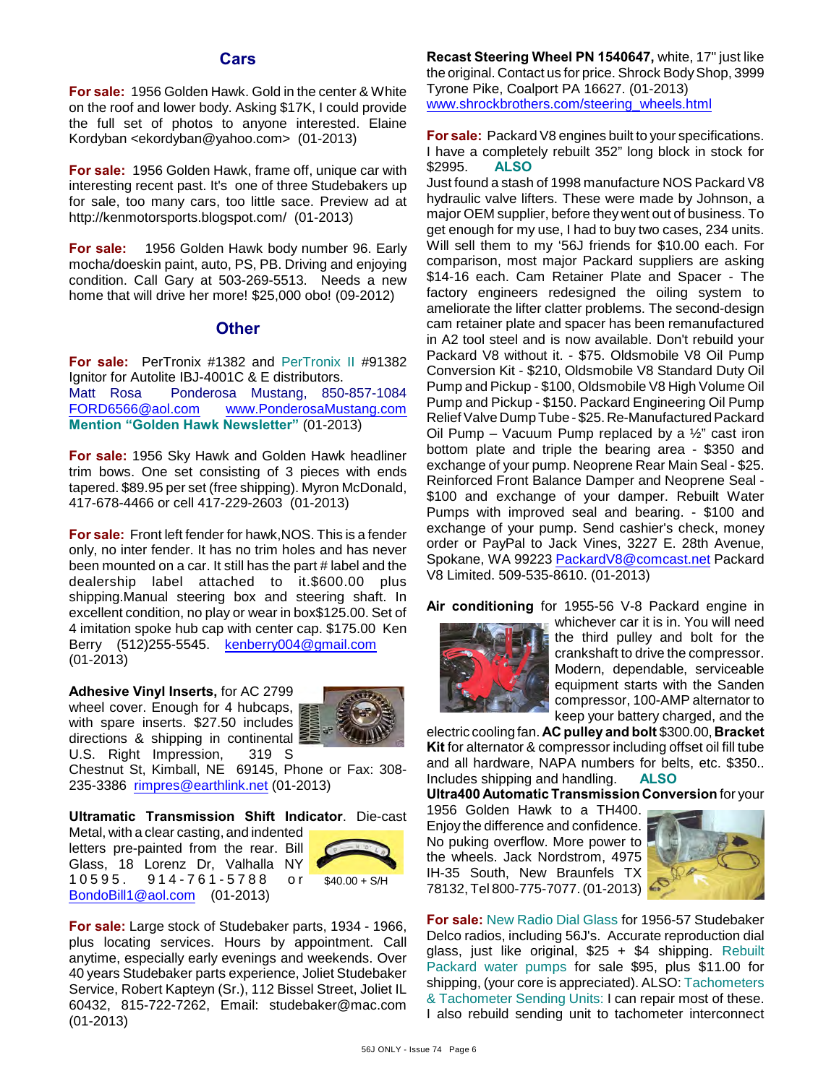### **Cars**

**For sale:** 1956 Golden Hawk. Gold in the center & White on the roof and lower body. Asking \$17K, I could provide the full set of photos to anyone interested. Elaine Kordyban <ekordyban@yahoo.com> (01-2013)

**For sale:** 1956 Golden Hawk, frame off, unique car with interesting recent past. It's one of three Studebakers up for sale, too many cars, too little sace. Preview ad at http://kenmotorsports.blogspot.com/ (01-2013)

**For sale:** 1956 Golden Hawk body number 96. Early mocha/doeskin paint, auto, PS, PB. Driving and enjoying condition. Call Gary at 503-269-5513. Needs a new home that will drive her more! \$25,000 obo! (09-2012)

### **Other**

**For sale:** PerTronix #1382 and PerTronix II #91382 Ignitor for Autolite IBJ-4001C & E distributors. Matt Rosa Ponderosa Mustang, 850-857-1084 [FORD6566@aol.com](mailto:FORD6566@aol.com) [www.PonderosaMustang.com](http://www.PonderosaMustang.com) **Mention "Golden Hawk Newsletter"** (01-2013)

**For sale:** 1956 Sky Hawk and Golden Hawk headliner trim bows. One set consisting of 3 pieces with ends tapered. \$89.95 per set (free shipping). Myron McDonald, 417-678-4466 or cell 417-229-2603 (01-2013)

**For sale:** Front left fender for hawk,NOS. This is a fender only, no inter fender. It has no trim holes and has never been mounted on a car. It still has the part # label and the dealership label attached to it.\$600.00 plus shipping.Manual steering box and steering shaft. In excellent condition, no play or wear in box\$125.00. Set of 4 imitation spoke hub cap with center cap. \$175.00 Ken Berry (512)255-5545. [kenberry004@gmail.com](mailto:kenberry004@gmail.com) (01-2013)

**Adhesive Vinyl Inserts,** for AC 2799 wheel cover. Enough for 4 hubcaps, with spare inserts. \$27.50 includes directions & shipping in continental U.S. Right Impression, 319 S



Chestnut St, Kimball, NE 69145, Phone or Fax: 308- 235-3386 [rimpres@earthlink.net](mailto:rimpres@earthlink.net) (01-2013)

**Ultramatic Transmission Shift Indicator**. Die-cast

Metal, with a clear casting, and indented letters pre-painted from the rear. Bill Glass, 18 Lorenz Dr, Valhalla NY 9 1 4 - 7 6 1 - 5 7 8 8 or [BondoBill1@aol.com](mailto:BondoBill1@aol.com) (01-2013)



**For sale:** Large stock of Studebaker parts, 1934 - 1966, plus locating services. Hours by appointment. Call anytime, especially early evenings and weekends. Over 40 years Studebaker parts experience, Joliet Studebaker Service, Robert Kapteyn (Sr.), 112 Bissel Street, Joliet IL 60432, 815-722-7262, Email: studebaker@mac.com (01-2013)

**Recast Steering Wheel PN 1540647,** white, 17" just like the original. Contact us for price. Shrock Body Shop, 3999 Tyrone Pike, Coalport PA 16627. (01-2013) [www.shrockbrothers.com/steering\\_wheels.html](http://www.shrockbrothers.com/steering_wheels.html)

**For sale:** Packard V8 engines built to your specifications. I have a completely rebuilt 352" long block in stock for \$2995. **ALSO**

Just found a stash of 1998 manufacture NOS Packard V8 hydraulic valve lifters. These were made by Johnson, a major OEM supplier, before they went out of business. To get enough for my use, I had to buy two cases, 234 units. Will sell them to my '56J friends for \$10.00 each. For comparison, most major Packard suppliers are asking \$14-16 each. Cam Retainer Plate and Spacer - The factory engineers redesigned the oiling system to ameliorate the lifter clatter problems. The second-design cam retainer plate and spacer has been remanufactured in A2 tool steel and is now available. Don't rebuild your Packard V8 without it. - \$75. Oldsmobile V8 Oil Pump Conversion Kit - \$210, Oldsmobile V8 Standard Duty Oil Pump and Pickup - \$100, Oldsmobile V8 High Volume Oil Pump and Pickup - \$150. Packard Engineering Oil Pump Relief Valve Dump Tube - \$25. Re-Manufactured Packard Oil Pump – Vacuum Pump replaced by a  $\frac{1}{2}$ " cast iron bottom plate and triple the bearing area - \$350 and exchange of your pump. Neoprene Rear Main Seal - \$25. Reinforced Front Balance Damper and Neoprene Seal - \$100 and exchange of your damper. Rebuilt Water Pumps with improved seal and bearing. - \$100 and exchange of your pump. Send cashier's check, money order or PayPal to Jack Vines, 3227 E. 28th Avenue, Spokane, WA 99223 [PackardV8@comcast.net](mailto:PackardV8@comcast.net) Packard V8 Limited. 509-535-8610. (01-2013)

**Air conditioning** for 1955-56 V-8 Packard engine in



whichever car it is in. You will need the third pulley and bolt for the crankshaft to drive the compressor. Modern, dependable, serviceable equipment starts with the Sanden compressor, 100-AMP alternator to keep your battery charged, and the

electric cooling fan. **AC pulley and bolt** \$300.00, **Bracket Kit** for alternator & compressor including offset oil fill tube and all hardware, NAPA numbers for belts, etc. \$350.. Includes shipping and handling. **ALSO**

**Ultra400 Automatic Transmission Conversion** for your

1956 Golden Hawk to a TH400. Enjoy the difference and confidence. No puking overflow. More power to the wheels. Jack Nordstrom, 4975 IH-35 South, New Braunfels TX 78132, Tel 800-775-7077. (01-2013)



**For sale:** New Radio Dial Glass for 1956-57 Studebaker Delco radios, including 56J's. Accurate reproduction dial glass, just like original, \$25 + \$4 shipping. Rebuilt Packard water pumps for sale \$95, plus \$11.00 for shipping, (your core is appreciated). ALSO: Tachometers & Tachometer Sending Units: I can repair most of these. I also rebuild sending unit to tachometer interconnect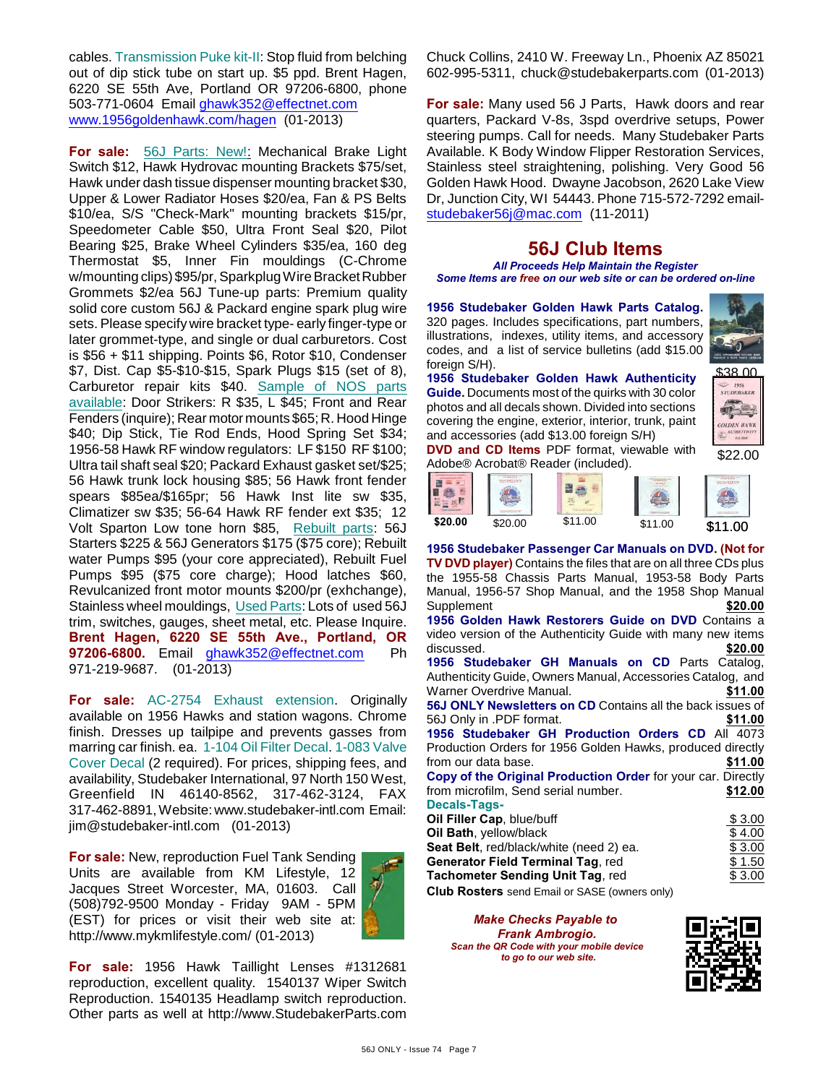cables. Transmission Puke kit-II: Stop fluid from belching out of dip stick tube on start up. \$5 ppd. Brent Hagen, 6220 SE 55th Ave, Portland OR 97206-6800, phone 503-771-0604 Email [ghawk352@effectnet.com](mailto:ghawk352@effectnet.com) [www.1956goldenhawk.com/hagen](http://www.1956goldenhawk.com/hagen) (01-2013)

**For sale:** 56J Parts: New!: Mechanical Brake Light Switch \$12, Hawk Hydrovac mounting Brackets \$75/set, Hawk under dash tissue dispenser mounting bracket \$30, Upper & Lower Radiator Hoses \$20/ea, Fan & PS Belts \$10/ea, S/S "Check-Mark" mounting brackets \$15/pr, Speedometer Cable \$50, Ultra Front Seal \$20, Pilot Bearing \$25, Brake Wheel Cylinders \$35/ea, 160 deg Thermostat \$5, Inner Fin mouldings (C-Chrome w/mounting clips) \$95/pr, Sparkplug Wire Bracket Rubber Grommets \$2/ea 56J Tune-up parts: Premium quality solid core custom 56J & Packard engine spark plug wire sets. Please specify wire bracket type- early finger-type or later grommet-type, and single or dual carburetors. Cost is \$56 + \$11 shipping. Points \$6, Rotor \$10, Condenser \$7, Dist. Cap \$5-\$10-\$15, Spark Plugs \$15 (set of 8), Carburetor repair kits \$40. Sample of NOS parts available: Door Strikers: R \$35, L \$45; Front and Rear Fenders (inquire); Rear motor mounts \$65; R. Hood Hinge \$40; Dip Stick, Tie Rod Ends, Hood Spring Set \$34; 1956-58 Hawk RF window regulators: LF \$150 RF \$100; Ultra tail shaft seal \$20; Packard Exhaust gasket set/\$25; 56 Hawk trunk lock housing \$85; 56 Hawk front fender spears \$85ea/\$165pr; 56 Hawk Inst lite sw \$35, Climatizer sw \$35; 56-64 Hawk RF fender ext \$35; 12 Volt Sparton Low tone horn \$85, Rebuilt parts: 56J Starters \$225 & 56J Generators \$175 (\$75 core); Rebuilt water Pumps \$95 (your core appreciated), Rebuilt Fuel Pumps \$95 (\$75 core charge); Hood latches \$60, Revulcanized front motor mounts \$200/pr (exhchange), Stainless wheel mouldings, Used Parts: Lots of used 56J trim, switches, gauges, sheet metal, etc. Please Inquire. **Brent Hagen, 6220 SE 55th Ave., Portland, OR 97206-6800.** Email [ghawk352@effectnet.com](mailto:ghawk352@effectnet.com) Ph 971-219-9687. (01-2013)

**For sale:** AC-2754 Exhaust extension. Originally available on 1956 Hawks and station wagons. Chrome finish. Dresses up tailpipe and prevents gasses from marring car finish. ea. 1-104 Oil Filter Decal. 1-083 Valve Cover Decal (2 required). For prices, shipping fees, and availability, Studebaker International, 97 North 150 West, Greenfield IN 46140-8562, 317-462-3124, FAX 317-462-8891, Website: www.studebaker-intl.com Email: jim@studebaker-intl.com (01-2013)

**For sale:** New, reproduction Fuel Tank Sending Units are available from KM Lifestyle, 12 Jacques Street Worcester, MA, 01603. Call (508)792-9500 Monday - Friday 9AM - 5PM (EST) for prices or visit their web site at: http://www.mykmlifestyle.com/ (01-2013)



**For sale:** 1956 Hawk Taillight Lenses #1312681 reproduction, excellent quality. 1540137 Wiper Switch Reproduction. 1540135 Headlamp switch reproduction. Other parts as well at http://www.StudebakerParts.com

Chuck Collins, 2410 W. Freeway Ln., Phoenix AZ 85021 602-995-5311, chuck@studebakerparts.com (01-2013)

**For sale:** Many used 56 J Parts, Hawk doors and rear quarters, Packard V-8s, 3spd overdrive setups, Power steering pumps. Call for needs. Many Studebaker Parts Available. K Body Window Flipper Restoration Services, Stainless steel straightening, polishing. Very Good 56 Golden Hawk Hood. Dwayne Jacobson, 2620 Lake View Dr, Junction City, WI 54443. Phone 715-572-7292 email[studebaker56j@mac.com](mailto:studebaker56j@mac.com) (11-2011)

## **56J Club Items**

*All Proceeds Help Maintain the Register Some Items are free on our web site or can be ordered on-line*

**1956 Studebaker Golden Hawk Parts Catalog.** 320 pages. Includes specifications, part numbers, illustrations, indexes, utility items, and accessory codes, and a list of service bulletins (add \$15.00 foreign S/H).



38.00

**1956**<br>STUDERAKER

**1956 Studebaker Golden Hawk Authenticity Guide.** Documents most of the quirks with 30 color photos and all decals shown. Divided into sections covering the engine, exterior, interior, trunk, paint and accessories (add \$13.00 foreign S/H)



**OLDEN HAWA** 

**DVD and CD Items** PDF format, viewable with Adobe® Acrobat® Reader (included).



**1956 Studebaker Passenger Car Manuals on DVD. (Not for TV DVD player)** Contains the files that are on all three CDs plus the 1955-58 Chassis Parts Manual, 1953-58 Body Parts Manual, 1956-57 Shop Manual, and the 1958 Shop Manual Supplement **\$20.00 1956 Golden Hawk Restorers Guide on DVD** Contains a video version of the Authenticity Guide with many new items discussed. **\$20.00 1956 Studebaker GH Manuals on CD** Parts Catalog, Authenticity Guide, Owners Manual, Accessories Catalog, and Warner Overdrive Manual. **\$11.00 56J ONLY Newsletters on CD** Contains all the back issues of 56J Only in .PDF format. **\$11.00 1956 Studebaker GH Production Orders CD** All 4073 Production Orders for 1956 Golden Hawks, produced directly from our data base. **\$11.00 Copy of the Original Production Order** for your car. Directly from microfilm, Send serial number. **\$12.00 Decals-Tags-Oil Filler Cap**, blue/buff  $$3.00$ **Oil Bath**, yellow/black  $$ 4.00$ **Seat Belt**, red/black/white (need 2) ea. \$ 3.00 **Generator Field Terminal Tag, red**  $$1.50$ **Tachometer Sending Unit Tag, red**  $$3.00$ 

**Club Rosters** send Email or SASE (owners only)

*Make Checks Payable to Frank Ambrogio. Scan the QR Code with your mobile device to go to our web site.*